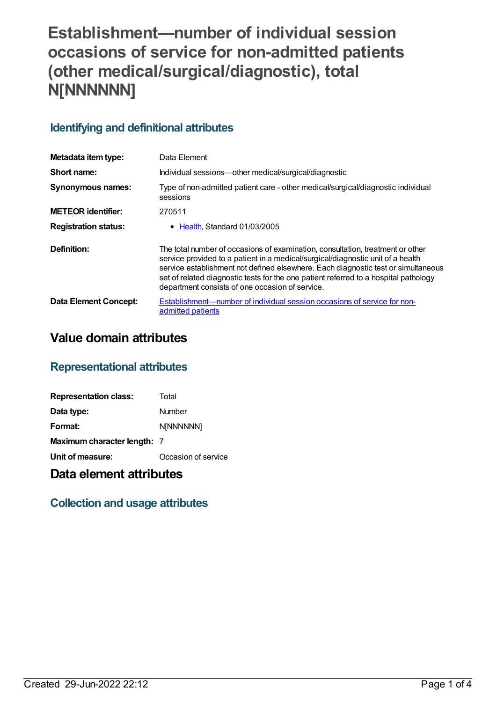# **Establishment—number of individual session occasions of service for non-admitted patients (other medical/surgical/diagnostic), total N[NNNNNN]**

## **Identifying and definitional attributes**

| Metadata item type:         | Data Element                                                                                                                                                                                                                                                                                                                                                                                      |
|-----------------------------|---------------------------------------------------------------------------------------------------------------------------------------------------------------------------------------------------------------------------------------------------------------------------------------------------------------------------------------------------------------------------------------------------|
| Short name:                 | Individual sessions—other medical/surgical/diagnostic                                                                                                                                                                                                                                                                                                                                             |
| <b>Synonymous names:</b>    | Type of non-admitted patient care - other medical/surgical/diagnostic individual<br>sessions                                                                                                                                                                                                                                                                                                      |
| <b>METEOR</b> identifier:   | 270511                                                                                                                                                                                                                                                                                                                                                                                            |
| <b>Registration status:</b> | Health, Standard 01/03/2005                                                                                                                                                                                                                                                                                                                                                                       |
| Definition:                 | The total number of occasions of examination, consultation, treatment or other<br>service provided to a patient in a medical/surgical/diagnostic unit of a health<br>service establishment not defined elsewhere. Each diagnostic test or simultaneous<br>set of related diagnostic tests for the one patient referred to a hospital pathology<br>department consists of one occasion of service. |
| Data Element Concept:       | Establishment—number of individual session occasions of service for non-<br>admitted patients                                                                                                                                                                                                                                                                                                     |

# **Value domain attributes**

### **Representational attributes**

| <b>Representation class:</b>       | Total               |
|------------------------------------|---------------------|
| Data type:                         | Number              |
| Format:                            | N[NNNNNN]           |
| <b>Maximum character length: 7</b> |                     |
| Unit of measure:                   | Occasion of service |

# **Data element attributes**

### **Collection and usage attributes**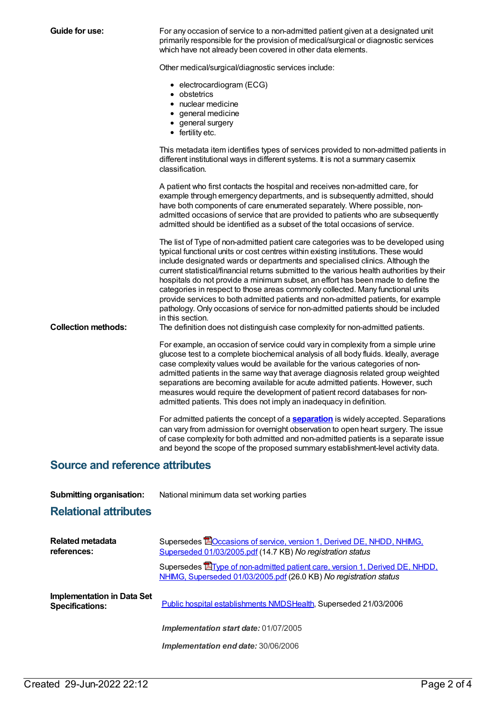| <b>Guide for use:</b>                  | For any occasion of service to a non-admitted patient given at a designated unit<br>primarily responsible for the provision of medical/surgical or diagnostic services<br>which have not already been covered in other data elements.                                                                                                                                                                                                                                                                                                                                                                                                                                                                                                                                                                         |  |
|----------------------------------------|---------------------------------------------------------------------------------------------------------------------------------------------------------------------------------------------------------------------------------------------------------------------------------------------------------------------------------------------------------------------------------------------------------------------------------------------------------------------------------------------------------------------------------------------------------------------------------------------------------------------------------------------------------------------------------------------------------------------------------------------------------------------------------------------------------------|--|
|                                        | Other medical/surgical/diagnostic services include:                                                                                                                                                                                                                                                                                                                                                                                                                                                                                                                                                                                                                                                                                                                                                           |  |
|                                        | • electrocardiogram (ECG)<br>• obstetrics<br>• nuclear medicine<br>• general medicine<br>• general surgery<br>• fertility etc.                                                                                                                                                                                                                                                                                                                                                                                                                                                                                                                                                                                                                                                                                |  |
|                                        | This metadata item identifies types of services provided to non-admitted patients in<br>different institutional ways in different systems. It is not a summary casemix<br>classification.                                                                                                                                                                                                                                                                                                                                                                                                                                                                                                                                                                                                                     |  |
|                                        | A patient who first contacts the hospital and receives non-admitted care, for<br>example through emergency departments, and is subsequently admitted, should<br>have both components of care enumerated separately. Where possible, non-<br>admitted occasions of service that are provided to patients who are subsequently<br>admitted should be identified as a subset of the total occasions of service.                                                                                                                                                                                                                                                                                                                                                                                                  |  |
| <b>Collection methods:</b>             | The list of Type of non-admitted patient care categories was to be developed using<br>typical functional units or cost centres within existing institutions. These would<br>include designated wards or departments and specialised clinics. Although the<br>current statistical/financial returns submitted to the various health authorities by their<br>hospitals do not provide a minimum subset, an effort has been made to define the<br>categories in respect to those areas commonly collected. Many functional units<br>provide services to both admitted patients and non-admitted patients, for example<br>pathology. Only occasions of service for non-admitted patients should be included<br>in this section.<br>The definition does not distinguish case complexity for non-admitted patients. |  |
|                                        | For example, an occasion of service could vary in complexity from a simple urine<br>glucose test to a complete biochemical analysis of all body fluids. Ideally, average<br>case complexity values would be available for the various categories of non-<br>admitted patients in the same way that average diagnosis related group weighted<br>separations are becoming available for acute admitted patients. However, such<br>measures would require the development of patient record databases for non-<br>admitted patients. This does not imply an inadequacy in definition.                                                                                                                                                                                                                            |  |
|                                        | For admitted patients the concept of a <b>separation</b> is widely accepted. Separations<br>can vary from admission for overnight observation to open heart surgery. The issue<br>of case complexity for both admitted and non-admitted patients is a separate issue<br>and beyond the scope of the proposed summary establishment-level activity data.                                                                                                                                                                                                                                                                                                                                                                                                                                                       |  |
| <b>Source and reference attributes</b> |                                                                                                                                                                                                                                                                                                                                                                                                                                                                                                                                                                                                                                                                                                                                                                                                               |  |
| <b>Submitting organisation:</b>        | National minimum data set working parties                                                                                                                                                                                                                                                                                                                                                                                                                                                                                                                                                                                                                                                                                                                                                                     |  |
| <b>Relational attributes</b>           |                                                                                                                                                                                                                                                                                                                                                                                                                                                                                                                                                                                                                                                                                                                                                                                                               |  |
| <b>Related metadata</b><br>references: | Supersedes <b>EC</b> Ccasions of service, version 1, Derived DE, NHDD, NHIMG,<br>Superseded 01/03/2005.pdf (14.7 KB) No registration status                                                                                                                                                                                                                                                                                                                                                                                                                                                                                                                                                                                                                                                                   |  |
|                                        | Supersedes <b>E</b> Type of non-admitted patient care, version 1, Derived DE, NHDD,<br>NHIMG, Superseded 01/03/2005.pdf (26.0 KB) No registration status                                                                                                                                                                                                                                                                                                                                                                                                                                                                                                                                                                                                                                                      |  |

**Implementation in Data Set**

Public hospital [establishments](https://meteor.aihw.gov.au/content/273047) NMDS[Health](https://meteor.aihw.gov.au/RegistrationAuthority/12), Superseded 21/03/2006

*Implementation start date:* 01/07/2005

*Implementation end date:* 30/06/2006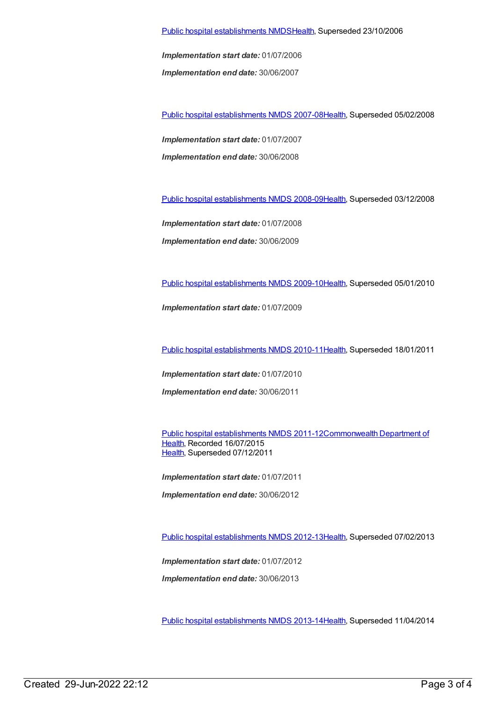Public hospital [establishments](https://meteor.aihw.gov.au/content/334285) NMDS[Health](https://meteor.aihw.gov.au/RegistrationAuthority/12), Superseded 23/10/2006

*Implementation start date:* 01/07/2006

*Implementation end date:* 30/06/2007

Public hospital [establishments](https://meteor.aihw.gov.au/content/345139) NMDS 2007-08[Health](https://meteor.aihw.gov.au/RegistrationAuthority/12), Superseded 05/02/2008

*Implementation start date:* 01/07/2007 *Implementation end date:* 30/06/2008

Public hospital [establishments](https://meteor.aihw.gov.au/content/362302) NMDS 2008-09[Health](https://meteor.aihw.gov.au/RegistrationAuthority/12), Superseded 03/12/2008

*Implementation start date:* 01/07/2008

*Implementation end date:* 30/06/2009

Public hospital [establishments](https://meteor.aihw.gov.au/content/374924) NMDS 2009-10[Health](https://meteor.aihw.gov.au/RegistrationAuthority/12), Superseded 05/01/2010

*Implementation start date:* 01/07/2009

Public hospital [establishments](https://meteor.aihw.gov.au/content/386794) NMDS 2010-11[Health](https://meteor.aihw.gov.au/RegistrationAuthority/12), Superseded 18/01/2011

*Implementation start date:* 01/07/2010 *Implementation end date:* 30/06/2011

Public hospital [establishments](https://meteor.aihw.gov.au/content/426900) NMDS [2011-12Commonwealth](https://meteor.aihw.gov.au/RegistrationAuthority/10) Department of Health, Recorded 16/07/2015 [Health](https://meteor.aihw.gov.au/RegistrationAuthority/12), Superseded 07/12/2011

*Implementation start date:* 01/07/2011 *Implementation end date:* 30/06/2012

Public hospital [establishments](https://meteor.aihw.gov.au/content/470656) NMDS 2012-13[Health](https://meteor.aihw.gov.au/RegistrationAuthority/12), Superseded 07/02/2013

*Implementation start date:* 01/07/2012

*Implementation end date:* 30/06/2013

Public hospital [establishments](https://meteor.aihw.gov.au/content/504279) NMDS 2013-14[Health](https://meteor.aihw.gov.au/RegistrationAuthority/12), Superseded 11/04/2014